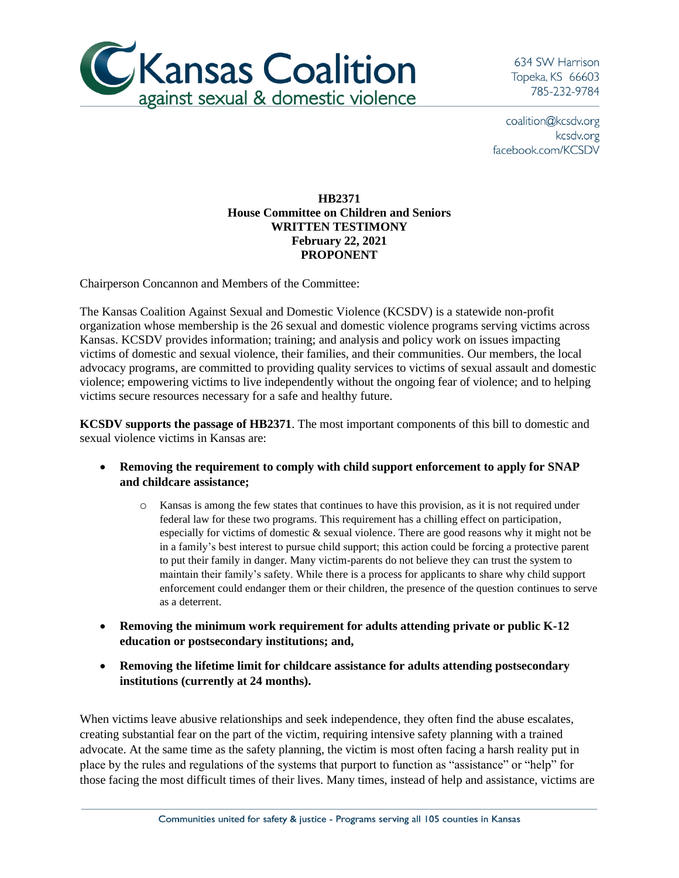

634 SW Harrison Topeka, KS 66603 785-232-9784

coalition@kcsdv.org kcsdv.org facebook.com/KCSDV

## **HB2371 House Committee on Children and Seniors WRITTEN TESTIMONY February 22, 2021 PROPONENT**

Chairperson Concannon and Members of the Committee:

The Kansas Coalition Against Sexual and Domestic Violence (KCSDV) is a statewide non-profit organization whose membership is the 26 sexual and domestic violence programs serving victims across Kansas. KCSDV provides information; training; and analysis and policy work on issues impacting victims of domestic and sexual violence, their families, and their communities. Our members, the local advocacy programs, are committed to providing quality services to victims of sexual assault and domestic violence; empowering victims to live independently without the ongoing fear of violence; and to helping victims secure resources necessary for a safe and healthy future.

**KCSDV supports the passage of HB2371**. The most important components of this bill to domestic and sexual violence victims in Kansas are:

- **Removing the requirement to comply with child support enforcement to apply for SNAP and childcare assistance;**
	- o Kansas is among the few states that continues to have this provision, as it is not required under federal law for these two programs. This requirement has a chilling effect on participation, especially for victims of domestic & sexual violence. There are good reasons why it might not be in a family's best interest to pursue child support; this action could be forcing a protective parent to put their family in danger. Many victim-parents do not believe they can trust the system to maintain their family's safety. While there is a process for applicants to share why child support enforcement could endanger them or their children, the presence of the question continues to serve as a deterrent.
- **Removing the minimum work requirement for adults attending private or public K-12 education or postsecondary institutions; and,**
- **Removing the lifetime limit for childcare assistance for adults attending postsecondary institutions (currently at 24 months).**

When victims leave abusive relationships and seek independence, they often find the abuse escalates, creating substantial fear on the part of the victim, requiring intensive safety planning with a trained advocate. At the same time as the safety planning, the victim is most often facing a harsh reality put in place by the rules and regulations of the systems that purport to function as "assistance" or "help" for those facing the most difficult times of their lives. Many times, instead of help and assistance, victims are